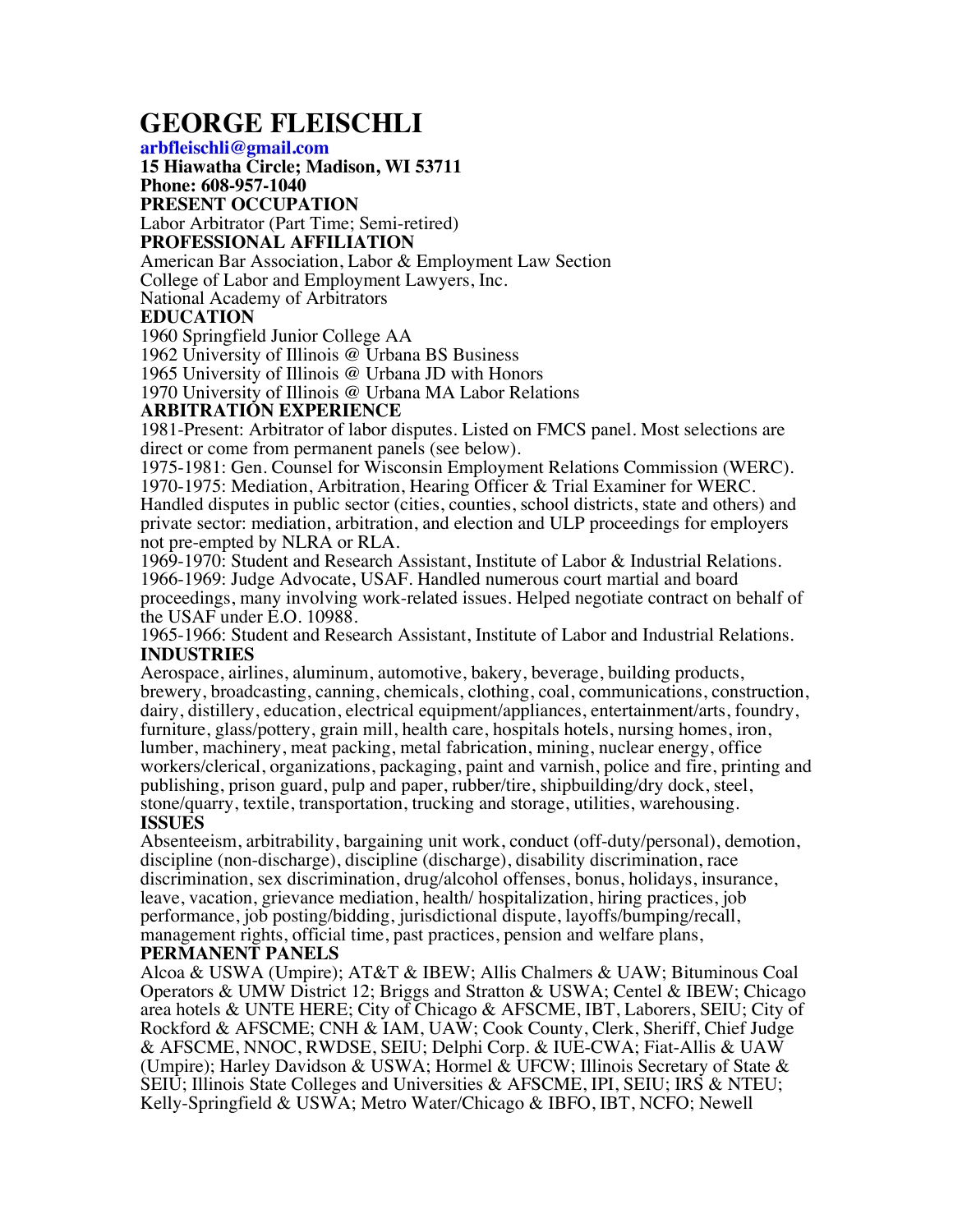# **GEORGE FLEISCHLI**

#### **arbfleischli@gmail.com**

**15 Hiawatha Circle; Madison, WI 53711**

#### **Phone: 608-957-1040**

#### **PRESENT OCCUPATION**

Labor Arbitrator (Part Time; Semi-retired)

### **PROFESSIONAL AFFILIATION**

American Bar Association, Labor & Employment Law Section College of Labor and Employment Lawyers, Inc. National Academy of Arbitrators

#### **EDUCATION**

1960 Springfield Junior College AA

1962 University of Illinois @ Urbana BS Business

1965 University of Illinois @ Urbana JD with Honors

1970 University of Illinois @ Urbana MA Labor Relations

# **ARBITRATION EXPERIENCE**

1981-Present: Arbitrator of labor disputes. Listed on FMCS panel. Most selections are direct or come from permanent panels (see below).

1975-1981: Gen. Counsel for Wisconsin Employment Relations Commission (WERC). 1970-1975: Mediation, Arbitration, Hearing Officer & Trial Examiner for WERC. Handled disputes in public sector (cities, counties, school districts, state and others) and private sector: mediation, arbitration, and election and ULP proceedings for employers not pre-empted by NLRA or RLA.

1969-1970: Student and Research Assistant, Institute of Labor & Industrial Relations. 1966-1969: Judge Advocate, USAF. Handled numerous court martial and board proceedings, many involving work-related issues. Helped negotiate contract on behalf of the USAF under E.O. 10988.

1965-1966: Student and Research Assistant, Institute of Labor and Industrial Relations. **INDUSTRIES** 

Aerospace, airlines, aluminum, automotive, bakery, beverage, building products, brewery, broadcasting, canning, chemicals, clothing, coal, communications, construction, dairy, distillery, education, electrical equipment/appliances, entertainment/arts, foundry, furniture, glass/pottery, grain mill, health care, hospitals hotels, nursing homes, iron, lumber, machinery, meat packing, metal fabrication, mining, nuclear energy, office workers/clerical, organizations, packaging, paint and varnish, police and fire, printing and publishing, prison guard, pulp and paper, rubber/tire, shipbuilding/dry dock, steel, stone/quarry, textile, transportation, trucking and storage, utilities, warehousing. **ISSUES** 

Absenteeism, arbitrability, bargaining unit work, conduct (off-duty/personal), demotion, discipline (non-discharge), discipline (discharge), disability discrimination, race discrimination, sex discrimination, drug/alcohol offenses, bonus, holidays, insurance, leave, vacation, grievance mediation, health/ hospitalization, hiring practices, job performance, job posting/bidding, jurisdictional dispute, layoffs/bumping/recall, management rights, official time, past practices, pension and welfare plans,

#### **PERMANENT PANELS**

Alcoa & USWA (Umpire); AT&T & IBEW; Allis Chalmers & UAW; Bituminous Coal Operators & UMW District 12; Briggs and Stratton & USWA; Centel & IBEW; Chicago area hotels & UNTE HERE; City of Chicago & AFSCME, IBT, Laborers, SEIU; City of Rockford & AFSCME; CNH & IAM, UAW; Cook County, Clerk, Sheriff, Chief Judge & AFSCME, NNOC, RWDSE, SEIU; Delphi Corp. & IUE-CWA; Fiat-Allis & UAW (Umpire); Harley Davidson & USWA; Hormel & UFCW; Illinois Secretary of State & SEIU; Illinois State Colleges and Universities & AFSCME, IPI, SEIU; IRS & NTEU; Kelly-Springfield & USWA; Metro Water/Chicago & IBFO, IBT, NCFO; Newell